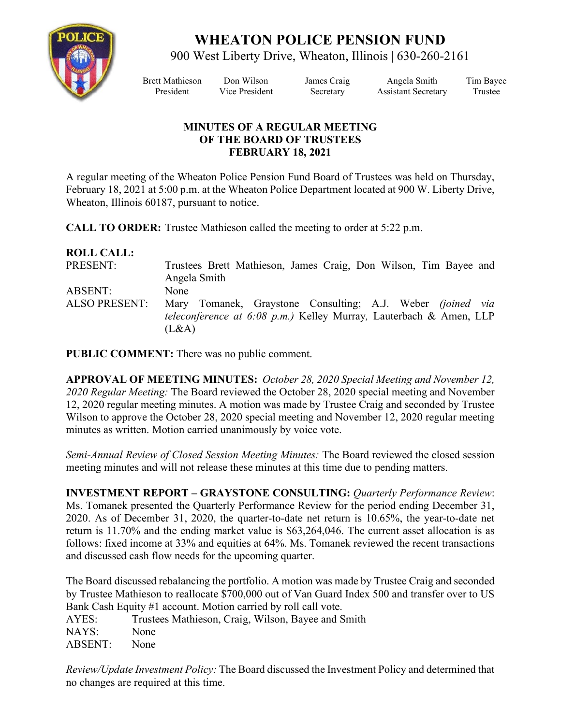

## **WHEATON POLICE PENSION FUND**

900 West Liberty Drive, Wheaton, Illinois | 630-260-2161

Brett Mathieson Don Wilson James Craig Angela Smith Tim Bayee President Vice President Secretary Assistant Secretary Trustee

## **MINUTES OF A REGULAR MEETING OF THE BOARD OF TRUSTEES FEBRUARY 18, 2021**

A regular meeting of the Wheaton Police Pension Fund Board of Trustees was held on Thursday, February 18, 2021 at 5:00 p.m. at the Wheaton Police Department located at 900 W. Liberty Drive, Wheaton, Illinois 60187, pursuant to notice.

**CALL TO ORDER:** Trustee Mathieson called the meeting to order at 5:22 p.m.

## **ROLL CALL:**

| PRESENT:                               | Trustees Brett Mathieson, James Craig, Don Wilson, Tim Bayee and<br>Angela Smith                                                                           |
|----------------------------------------|------------------------------------------------------------------------------------------------------------------------------------------------------------|
| <b>ABSENT:</b><br><b>ALSO PRESENT:</b> | None<br>Mary Tomanek, Graystone Consulting; A.J. Weber <i>(joined via</i> )<br>teleconference at 6:08 p.m.) Kelley Murray, Lauterbach & Amen, LLP<br>(L&A) |

**PUBLIC COMMENT:** There was no public comment.

**APPROVAL OF MEETING MINUTES:** *October 28, 2020 Special Meeting and November 12, 2020 Regular Meeting:* The Board reviewed the October 28, 2020 special meeting and November 12, 2020 regular meeting minutes. A motion was made by Trustee Craig and seconded by Trustee Wilson to approve the October 28, 2020 special meeting and November 12, 2020 regular meeting minutes as written. Motion carried unanimously by voice vote.

*Semi-Annual Review of Closed Session Meeting Minutes:* The Board reviewed the closed session meeting minutes and will not release these minutes at this time due to pending matters.

**INVESTMENT REPORT – GRAYSTONE CONSULTING:** *Quarterly Performance Review*: Ms. Tomanek presented the Quarterly Performance Review for the period ending December 31, 2020. As of December 31, 2020, the quarter-to-date net return is 10.65%, the year-to-date net return is 11.70% and the ending market value is \$63,264,046. The current asset allocation is as follows: fixed income at 33% and equities at 64%. Ms. Tomanek reviewed the recent transactions and discussed cash flow needs for the upcoming quarter.

The Board discussed rebalancing the portfolio. A motion was made by Trustee Craig and seconded by Trustee Mathieson to reallocate \$700,000 out of Van Guard Index 500 and transfer over to US Bank Cash Equity #1 account. Motion carried by roll call vote.

AYES: Trustees Mathieson, Craig, Wilson, Bayee and Smith NAYS: None ABSENT: None

*Review/Update Investment Policy:* The Board discussed the Investment Policy and determined that no changes are required at this time.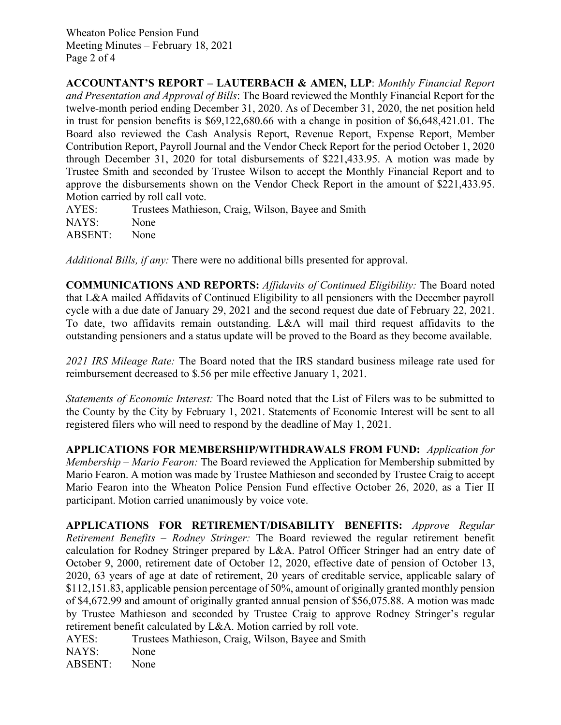Wheaton Police Pension Fund Meeting Minutes – February 18, 2021 Page 2 of 4

**ACCOUNTANT'S REPORT – LAUTERBACH & AMEN, LLP**: *Monthly Financial Report and Presentation and Approval of Bills*: The Board reviewed the Monthly Financial Report for the twelve-month period ending December 31, 2020. As of December 31, 2020, the net position held in trust for pension benefits is \$69,122,680.66 with a change in position of \$6,648,421.01. The Board also reviewed the Cash Analysis Report, Revenue Report, Expense Report, Member Contribution Report, Payroll Journal and the Vendor Check Report for the period October 1, 2020 through December 31, 2020 for total disbursements of \$221,433.95. A motion was made by Trustee Smith and seconded by Trustee Wilson to accept the Monthly Financial Report and to approve the disbursements shown on the Vendor Check Report in the amount of \$221,433.95. Motion carried by roll call vote.

AYES: Trustees Mathieson, Craig, Wilson, Bayee and Smith NAYS: None ABSENT: None

*Additional Bills, if any:* There were no additional bills presented for approval.

**COMMUNICATIONS AND REPORTS:** *Affidavits of Continued Eligibility:* The Board noted that L&A mailed Affidavits of Continued Eligibility to all pensioners with the December payroll cycle with a due date of January 29, 2021 and the second request due date of February 22, 2021. To date, two affidavits remain outstanding. L&A will mail third request affidavits to the outstanding pensioners and a status update will be proved to the Board as they become available.

*2021 IRS Mileage Rate:* The Board noted that the IRS standard business mileage rate used for reimbursement decreased to \$.56 per mile effective January 1, 2021.

*Statements of Economic Interest:* The Board noted that the List of Filers was to be submitted to the County by the City by February 1, 2021. Statements of Economic Interest will be sent to all registered filers who will need to respond by the deadline of May 1, 2021.

**APPLICATIONS FOR MEMBERSHIP/WITHDRAWALS FROM FUND:** *Application for Membership – Mario Fearon:* The Board reviewed the Application for Membership submitted by Mario Fearon. A motion was made by Trustee Mathieson and seconded by Trustee Craig to accept Mario Fearon into the Wheaton Police Pension Fund effective October 26, 2020, as a Tier II participant. Motion carried unanimously by voice vote.

**APPLICATIONS FOR RETIREMENT/DISABILITY BENEFITS:** *Approve Regular Retirement Benefits – Rodney Stringer:* The Board reviewed the regular retirement benefit calculation for Rodney Stringer prepared by L&A. Patrol Officer Stringer had an entry date of October 9, 2000, retirement date of October 12, 2020, effective date of pension of October 13, 2020, 63 years of age at date of retirement, 20 years of creditable service, applicable salary of \$112,151.83, applicable pension percentage of 50%, amount of originally granted monthly pension of \$4,672.99 and amount of originally granted annual pension of \$56,075.88. A motion was made by Trustee Mathieson and seconded by Trustee Craig to approve Rodney Stringer's regular retirement benefit calculated by L&A. Motion carried by roll vote.

AYES: Trustees Mathieson, Craig, Wilson, Bayee and Smith NAYS: None ABSENT: None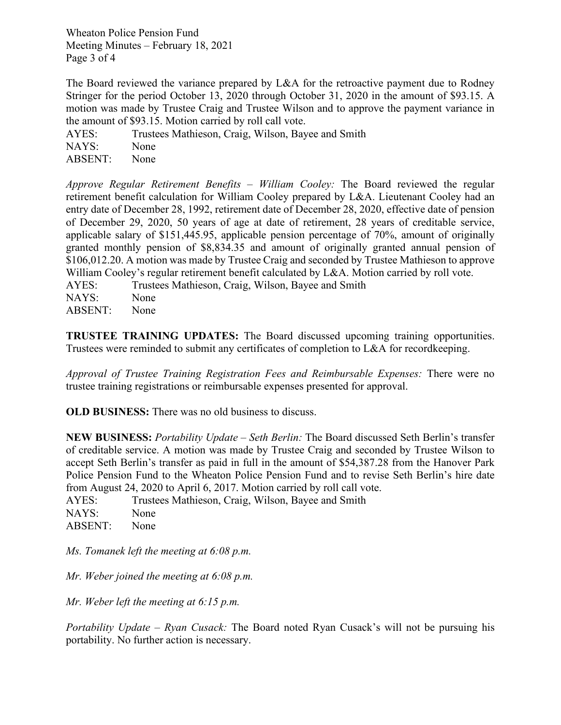Wheaton Police Pension Fund Meeting Minutes – February 18, 2021 Page 3 of 4

The Board reviewed the variance prepared by L&A for the retroactive payment due to Rodney Stringer for the period October 13, 2020 through October 31, 2020 in the amount of \$93.15. A motion was made by Trustee Craig and Trustee Wilson and to approve the payment variance in the amount of \$93.15. Motion carried by roll call vote.

AYES: Trustees Mathieson, Craig, Wilson, Bayee and Smith NAYS: None ABSENT: None

*Approve Regular Retirement Benefits – William Cooley:* The Board reviewed the regular retirement benefit calculation for William Cooley prepared by L&A. Lieutenant Cooley had an entry date of December 28, 1992, retirement date of December 28, 2020, effective date of pension of December 29, 2020, 50 years of age at date of retirement, 28 years of creditable service, applicable salary of \$151,445.95, applicable pension percentage of 70%, amount of originally granted monthly pension of \$8,834.35 and amount of originally granted annual pension of \$106,012.20. A motion was made by Trustee Craig and seconded by Trustee Mathieson to approve William Cooley's regular retirement benefit calculated by L&A. Motion carried by roll vote.

AYES: Trustees Mathieson, Craig, Wilson, Bayee and Smith NAYS: None

ABSENT: None

**TRUSTEE TRAINING UPDATES:** The Board discussed upcoming training opportunities. Trustees were reminded to submit any certificates of completion to L&A for recordkeeping.

*Approval of Trustee Training Registration Fees and Reimbursable Expenses:* There were no trustee training registrations or reimbursable expenses presented for approval.

**OLD BUSINESS:** There was no old business to discuss.

**NEW BUSINESS:** *Portability Update – Seth Berlin:* The Board discussed Seth Berlin's transfer of creditable service. A motion was made by Trustee Craig and seconded by Trustee Wilson to accept Seth Berlin's transfer as paid in full in the amount of \$54,387.28 from the Hanover Park Police Pension Fund to the Wheaton Police Pension Fund and to revise Seth Berlin's hire date from August 24, 2020 to April 6, 2017. Motion carried by roll call vote.

AYES: Trustees Mathieson, Craig, Wilson, Bayee and Smith NAYS: None ABSENT: None

*Ms. Tomanek left the meeting at 6:08 p.m.*

*Mr. Weber joined the meeting at 6:08 p.m.*

*Mr. Weber left the meeting at 6:15 p.m.*

*Portability Update – Ryan Cusack:* The Board noted Ryan Cusack's will not be pursuing his portability. No further action is necessary.